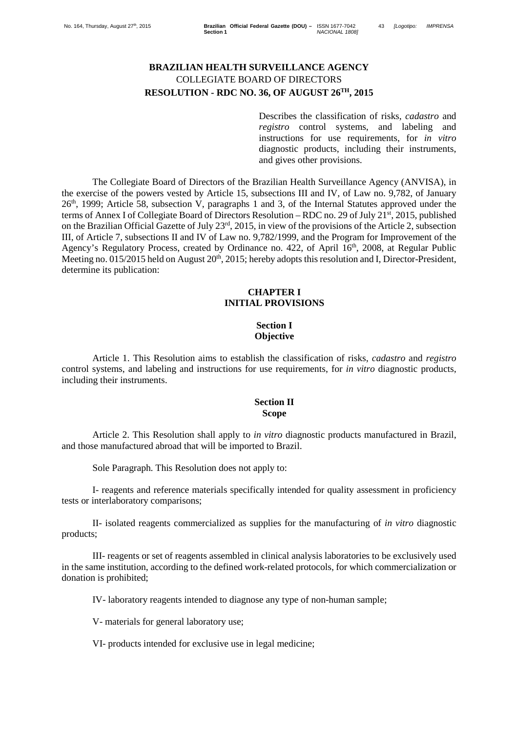# **BRAZILIAN HEALTH SURVEILLANCE AGENCY** COLLEGIATE BOARD OF DIRECTORS **RESOLUTION - RDC NO. 36, OF AUGUST 26TH, 2015**

Describes the classification of risks, *cadastro* and *registro* control systems, and labeling and instructions for use requirements, for *in vitro* diagnostic products, including their instruments, and gives other provisions.

The Collegiate Board of Directors of the Brazilian Health Surveillance Agency (ANVISA), in the exercise of the powers vested by Article 15, subsections III and IV, of Law no. 9,782, of January 26th, 1999; Article 58, subsection V, paragraphs 1 and 3, of the Internal Statutes approved under the terms of Annex I of Collegiate Board of Directors Resolution – RDC no. 29 of July 21<sup>st</sup>, 2015, published on the Brazilian Official Gazette of July 23rd, 2015, in view of the provisions of the Article 2, subsection III, of Article 7, subsections II and IV of Law no. 9,782/1999, and the Program for Improvement of the Agency's Regulatory Process, created by Ordinance no. 422, of April 16<sup>th</sup>, 2008, at Regular Public Meeting no. 015/2015 held on August 20<sup>th</sup>, 2015; hereby adopts this resolution and I, Director-President, determine its publication:

#### **CHAPTER I INITIAL PROVISIONS**

#### **Section I Objective**

Article 1. This Resolution aims to establish the classification of risks, *cadastro* and *registro* control systems, and labeling and instructions for use requirements, for *in vitro* diagnostic products, including their instruments.

### **Section II Scope**

Article 2. This Resolution shall apply to *in vitro* diagnostic products manufactured in Brazil, and those manufactured abroad that will be imported to Brazil.

Sole Paragraph. This Resolution does not apply to:

I- reagents and reference materials specifically intended for quality assessment in proficiency tests or interlaboratory comparisons;

II- isolated reagents commercialized as supplies for the manufacturing of *in vitro* diagnostic products;

III- reagents or set of reagents assembled in clinical analysis laboratories to be exclusively used in the same institution, according to the defined work-related protocols, for which commercialization or donation is prohibited;

IV- laboratory reagents intended to diagnose any type of non-human sample;

V- materials for general laboratory use;

VI- products intended for exclusive use in legal medicine;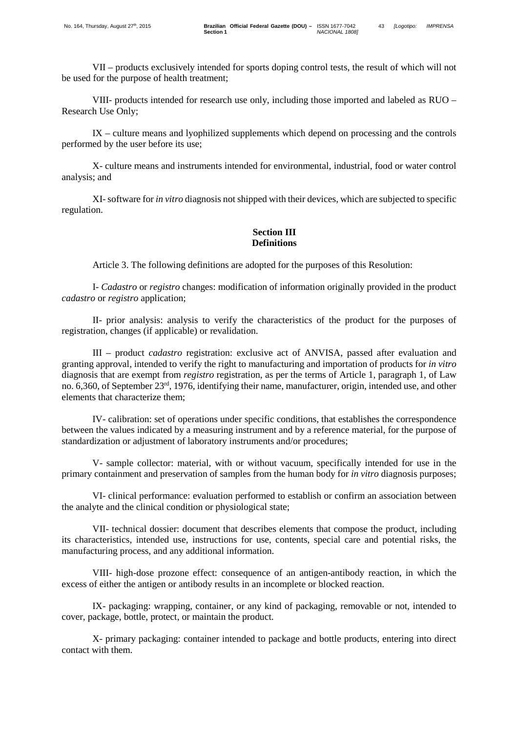VIII- products intended for research use only, including those imported and labeled as RUO – Research Use Only;

IX – culture means and lyophilized supplements which depend on processing and the controls performed by the user before its use;

X- culture means and instruments intended for environmental, industrial, food or water control analysis; and

XI-software for *in vitro* diagnosis not shipped with their devices, which are subjected to specific regulation.

# **Section III Definitions**

Article 3. The following definitions are adopted for the purposes of this Resolution:

I- *Cadastro* or *registro* changes: modification of information originally provided in the product *cadastro* or *registro* application;

II- prior analysis: analysis to verify the characteristics of the product for the purposes of registration, changes (if applicable) or revalidation.

III – product *cadastro* registration: exclusive act of ANVISA, passed after evaluation and granting approval, intended to verify the right to manufacturing and importation of products for *in vitro* diagnosis that are exempt from *registro* registration, as per the terms of Article 1, paragraph 1, of Law no. 6,360, of September 23rd, 1976, identifying their name, manufacturer, origin, intended use, and other elements that characterize them;

IV- calibration: set of operations under specific conditions, that establishes the correspondence between the values indicated by a measuring instrument and by a reference material, for the purpose of standardization or adjustment of laboratory instruments and/or procedures;

V- sample collector: material, with or without vacuum, specifically intended for use in the primary containment and preservation of samples from the human body for *in vitro* diagnosis purposes;

VI- clinical performance: evaluation performed to establish or confirm an association between the analyte and the clinical condition or physiological state;

VII- technical dossier: document that describes elements that compose the product, including its characteristics, intended use, instructions for use, contents, special care and potential risks, the manufacturing process, and any additional information.

VIII- high-dose prozone effect: consequence of an antigen-antibody reaction, in which the excess of either the antigen or antibody results in an incomplete or blocked reaction.

IX- packaging: wrapping, container, or any kind of packaging, removable or not, intended to cover, package, bottle, protect, or maintain the product.

X- primary packaging: container intended to package and bottle products, entering into direct contact with them.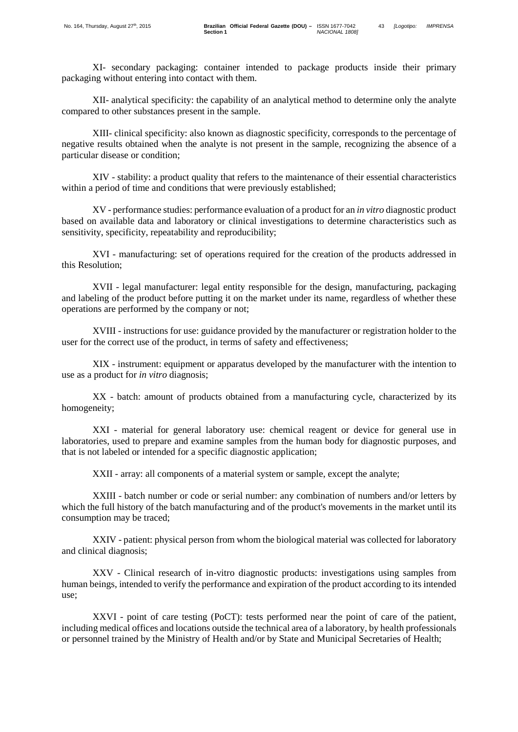XI- secondary packaging: container intended to package products inside their primary packaging without entering into contact with them.

XII- analytical specificity: the capability of an analytical method to determine only the analyte compared to other substances present in the sample.

XIII- clinical specificity: also known as diagnostic specificity, corresponds to the percentage of negative results obtained when the analyte is not present in the sample, recognizing the absence of a particular disease or condition;

XIV - stability: a product quality that refers to the maintenance of their essential characteristics within a period of time and conditions that were previously established;

XV - performance studies: performance evaluation of a product for an *in vitro* diagnostic product based on available data and laboratory or clinical investigations to determine characteristics such as sensitivity, specificity, repeatability and reproducibility;

XVI - manufacturing: set of operations required for the creation of the products addressed in this Resolution;

 XVII - legal manufacturer: legal entity responsible for the design, manufacturing, packaging and labeling of the product before putting it on the market under its name, regardless of whether these operations are performed by the company or not;

XVIII - instructions for use: guidance provided by the manufacturer or registration holder to the user for the correct use of the product, in terms of safety and effectiveness;

XIX - instrument: equipment or apparatus developed by the manufacturer with the intention to use as a product for *in vitro* diagnosis;

XX - batch: amount of products obtained from a manufacturing cycle, characterized by its homogeneity;

XXI - material for general laboratory use: chemical reagent or device for general use in laboratories, used to prepare and examine samples from the human body for diagnostic purposes, and that is not labeled or intended for a specific diagnostic application;

XXII - array: all components of a material system or sample, except the analyte;

XXIII - batch number or code or serial number: any combination of numbers and/or letters by which the full history of the batch manufacturing and of the product's movements in the market until its consumption may be traced;

XXIV - patient: physical person from whom the biological material was collected for laboratory and clinical diagnosis;

XXV - Clinical research of in-vitro diagnostic products: investigations using samples from human beings, intended to verify the performance and expiration of the product according to its intended use;

XXVI - point of care testing (PoCT): tests performed near the point of care of the patient, including medical offices and locations outside the technical area of a laboratory, by health professionals or personnel trained by the Ministry of Health and/or by State and Municipal Secretaries of Health;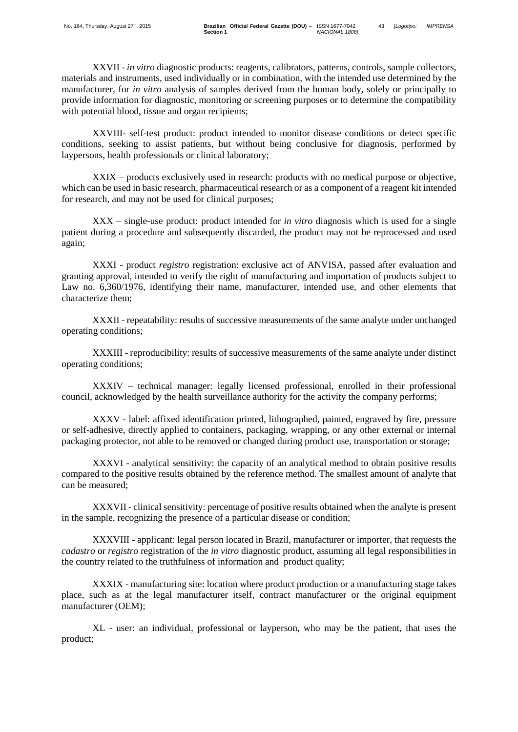XXVII - *in vitro* diagnostic products: reagents, calibrators, patterns, controls, sample collectors, materials and instruments, used individually or in combination, with the intended use determined by the manufacturer, for *in vitro* analysis of samples derived from the human body, solely or principally to provide information for diagnostic, monitoring or screening purposes or to determine the compatibility with potential blood, tissue and organ recipients;

XXVIII- self-test product: product intended to monitor disease conditions or detect specific conditions, seeking to assist patients, but without being conclusive for diagnosis, performed by laypersons, health professionals or clinical laboratory;

XXIX – products exclusively used in research: products with no medical purpose or objective, which can be used in basic research, pharmaceutical research or as a component of a reagent kit intended for research, and may not be used for clinical purposes;

XXX – single-use product: product intended for *in vitro* diagnosis which is used for a single patient during a procedure and subsequently discarded, the product may not be reprocessed and used again;

XXXI - product *registro* registration: exclusive act of ANVISA, passed after evaluation and granting approval, intended to verify the right of manufacturing and importation of products subject to Law no. 6,360/1976, identifying their name, manufacturer, intended use, and other elements that characterize them;

XXXII - repeatability: results of successive measurements of the same analyte under unchanged operating conditions;

XXXIII - reproducibility: results of successive measurements of the same analyte under distinct operating conditions;

XXXIV – technical manager: legally licensed professional, enrolled in their professional council, acknowledged by the health surveillance authority for the activity the company performs;

XXXV - label: affixed identification printed, lithographed, painted, engraved by fire, pressure or self-adhesive, directly applied to containers, packaging, wrapping, or any other external or internal packaging protector, not able to be removed or changed during product use, transportation or storage;

XXXVI - analytical sensitivity: the capacity of an analytical method to obtain positive results compared to the positive results obtained by the reference method. The smallest amount of analyte that can be measured;

XXXVII - clinical sensitivity: percentage of positive results obtained when the analyte is present in the sample, recognizing the presence of a particular disease or condition;

XXXVIII - applicant: legal person located in Brazil, manufacturer or importer, that requests the *cadastro* or *registro* registration of the *in vitro* diagnostic product, assuming all legal responsibilities in the country related to the truthfulness of information and product quality;

XXXIX - manufacturing site: location where product production or a manufacturing stage takes place, such as at the legal manufacturer itself, contract manufacturer or the original equipment manufacturer (OEM);

XL - user: an individual, professional or layperson, who may be the patient, that uses the product;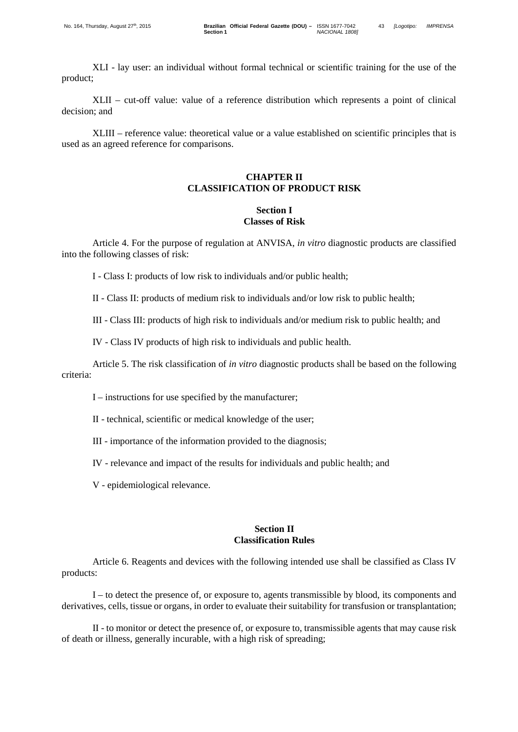XLII – cut-off value: value of a reference distribution which represents a point of clinical decision; and

XLIII – reference value: theoretical value or a value established on scientific principles that is used as an agreed reference for comparisons.

# **CHAPTER II CLASSIFICATION OF PRODUCT RISK**

### **Section I Classes of Risk**

Article 4. For the purpose of regulation at ANVISA, *in vitro* diagnostic products are classified into the following classes of risk:

I - Class I: products of low risk to individuals and/or public health;

II - Class II: products of medium risk to individuals and/or low risk to public health;

III - Class III: products of high risk to individuals and/or medium risk to public health; and

IV - Class IV products of high risk to individuals and public health.

Article 5. The risk classification of *in vitro* diagnostic products shall be based on the following criteria:

I – instructions for use specified by the manufacturer;

II - technical, scientific or medical knowledge of the user;

III - importance of the information provided to the diagnosis;

IV - relevance and impact of the results for individuals and public health; and

V - epidemiological relevance.

#### **Section II Classification Rules**

Article 6. Reagents and devices with the following intended use shall be classified as Class IV products:

I – to detect the presence of, or exposure to, agents transmissible by blood, its components and derivatives, cells, tissue or organs, in order to evaluate their suitability for transfusion or transplantation;

II - to monitor or detect the presence of, or exposure to, transmissible agents that may cause risk of death or illness, generally incurable, with a high risk of spreading;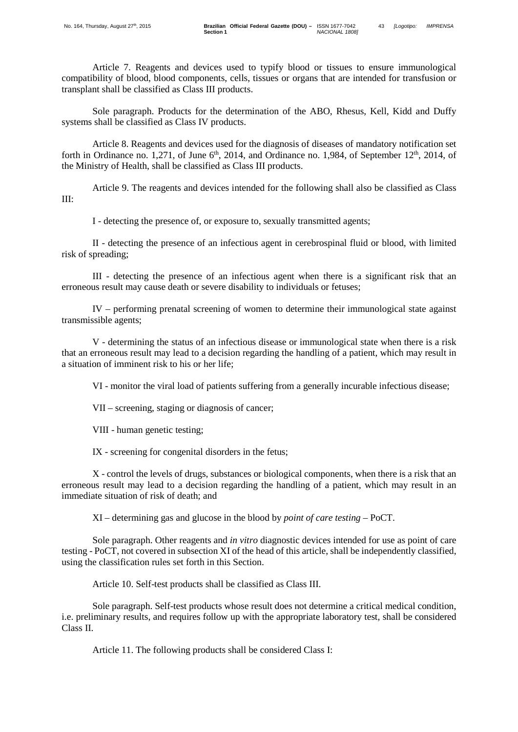Article 7. Reagents and devices used to typify blood or tissues to ensure immunological compatibility of blood, blood components, cells, tissues or organs that are intended for transfusion or transplant shall be classified as Class III products.

Sole paragraph. Products for the determination of the ABO, Rhesus, Kell, Kidd and Duffy systems shall be classified as Class IV products.

Article 8. Reagents and devices used for the diagnosis of diseases of mandatory notification set forth in Ordinance no. 1,271, of June  $6<sup>th</sup>$ , 2014, and Ordinance no. 1,984, of September 12<sup>th</sup>, 2014, of the Ministry of Health, shall be classified as Class III products.

Article 9. The reagents and devices intended for the following shall also be classified as Class III:

I - detecting the presence of, or exposure to, sexually transmitted agents;

II - detecting the presence of an infectious agent in cerebrospinal fluid or blood, with limited risk of spreading;

III - detecting the presence of an infectious agent when there is a significant risk that an erroneous result may cause death or severe disability to individuals or fetuses;

IV – performing prenatal screening of women to determine their immunological state against transmissible agents;

V - determining the status of an infectious disease or immunological state when there is a risk that an erroneous result may lead to a decision regarding the handling of a patient, which may result in a situation of imminent risk to his or her life;

VI - monitor the viral load of patients suffering from a generally incurable infectious disease;

VII – screening, staging or diagnosis of cancer;

VIII - human genetic testing;

IX - screening for congenital disorders in the fetus;

X - control the levels of drugs, substances or biological components, when there is a risk that an erroneous result may lead to a decision regarding the handling of a patient, which may result in an immediate situation of risk of death; and

XI – determining gas and glucose in the blood by *point of care testing* – PoCT.

Sole paragraph. Other reagents and *in vitro* diagnostic devices intended for use as point of care testing - PoCT, not covered in subsection XI of the head of this article, shall be independently classified, using the classification rules set forth in this Section.

Article 10. Self-test products shall be classified as Class III.

Sole paragraph. Self-test products whose result does not determine a critical medical condition, i.e. preliminary results, and requires follow up with the appropriate laboratory test, shall be considered Class II.

Article 11. The following products shall be considered Class I: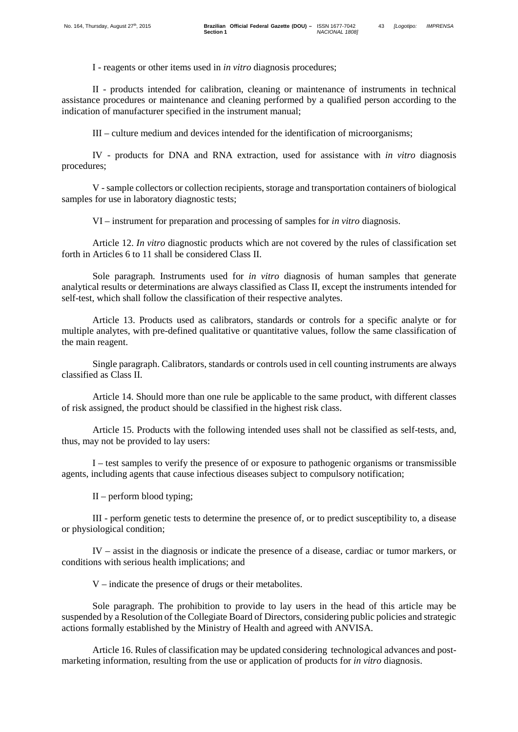I - reagents or other items used in *in vitro* diagnosis procedures;

II - products intended for calibration, cleaning or maintenance of instruments in technical assistance procedures or maintenance and cleaning performed by a qualified person according to the indication of manufacturer specified in the instrument manual;

III – culture medium and devices intended for the identification of microorganisms;

IV - products for DNA and RNA extraction, used for assistance with *in vitro* diagnosis procedures;

V -sample collectors or collection recipients, storage and transportation containers of biological samples for use in laboratory diagnostic tests;

VI – instrument for preparation and processing of samples for *in vitro* diagnosis.

Article 12. *In vitro* diagnostic products which are not covered by the rules of classification set forth in Articles 6 to 11 shall be considered Class II.

Sole paragraph. Instruments used for *in vitro* diagnosis of human samples that generate analytical results or determinations are always classified as Class II, except the instruments intended for self-test, which shall follow the classification of their respective analytes.

Article 13. Products used as calibrators, standards or controls for a specific analyte or for multiple analytes, with pre-defined qualitative or quantitative values, follow the same classification of the main reagent.

Single paragraph. Calibrators, standards or controls used in cell counting instruments are always classified as Class II.

Article 14. Should more than one rule be applicable to the same product, with different classes of risk assigned, the product should be classified in the highest risk class.

Article 15. Products with the following intended uses shall not be classified as self-tests, and, thus, may not be provided to lay users:

I – test samples to verify the presence of or exposure to pathogenic organisms or transmissible agents, including agents that cause infectious diseases subject to compulsory notification;

II – perform blood typing;

III - perform genetic tests to determine the presence of, or to predict susceptibility to, a disease or physiological condition;

IV – assist in the diagnosis or indicate the presence of a disease, cardiac or tumor markers, or conditions with serious health implications; and

V – indicate the presence of drugs or their metabolites.

Sole paragraph. The prohibition to provide to lay users in the head of this article may be suspended by a Resolution of the Collegiate Board of Directors, considering public policies and strategic actions formally established by the Ministry of Health and agreed with ANVISA.

Article 16. Rules of classification may be updated considering technological advances and postmarketing information, resulting from the use or application of products for *in vitro* diagnosis.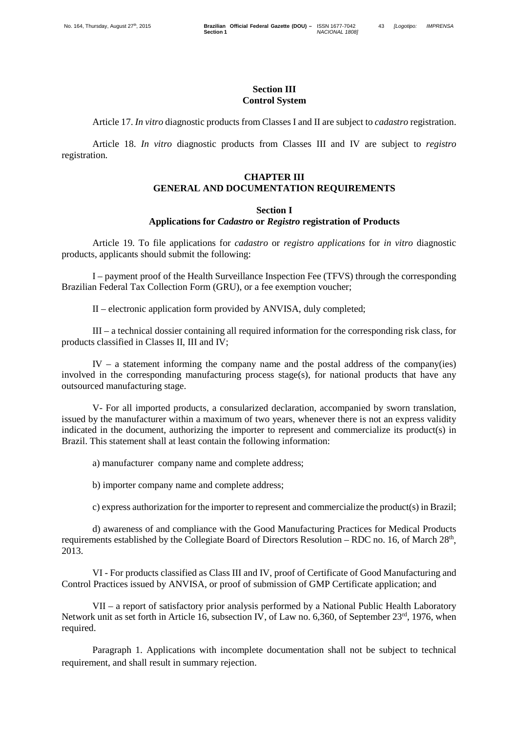# **Section III Control System**

Article 17. *In vitro* diagnostic products from Classes I and II are subject to *cadastro* registration.

Article 18. *In vitro* diagnostic products from Classes III and IV are subject to *registro* registration.

### **CHAPTER III GENERAL AND DOCUMENTATION REQUIREMENTS**

#### **Section I**

#### **Applications for** *Cadastro* **or** *Registro* **registration of Products**

Article 19. To file applications for *cadastro* or *registro applications* for *in vitro* diagnostic products, applicants should submit the following:

I – payment proof of the Health Surveillance Inspection Fee (TFVS) through the corresponding Brazilian Federal Tax Collection Form (GRU), or a fee exemption voucher;

II – electronic application form provided by ANVISA, duly completed;

III – a technical dossier containing all required information for the corresponding risk class, for products classified in Classes II, III and IV;

IV – a statement informing the company name and the postal address of the company(ies) involved in the corresponding manufacturing process stage(s), for national products that have any outsourced manufacturing stage.

V- For all imported products, a consularized declaration, accompanied by sworn translation, issued by the manufacturer within a maximum of two years, whenever there is not an express validity indicated in the document, authorizing the importer to represent and commercialize its product(s) in Brazil. This statement shall at least contain the following information:

a) manufacturer company name and complete address;

b) importer company name and complete address;

c) express authorization for the importer to represent and commercialize the product(s) in Brazil;

d) awareness of and compliance with the Good Manufacturing Practices for Medical Products requirements established by the Collegiate Board of Directors Resolution – RDC no. 16, of March 28<sup>th</sup>, 2013.

VI - For products classified as Class III and IV, proof of Certificate of Good Manufacturing and Control Practices issued by ANVISA, or proof of submission of GMP Certificate application; and

VII – a report of satisfactory prior analysis performed by a National Public Health Laboratory Network unit as set forth in Article 16, subsection IV, of Law no. 6,360, of September 23<sup>rd</sup>, 1976, when required.

Paragraph 1. Applications with incomplete documentation shall not be subject to technical requirement, and shall result in summary rejection.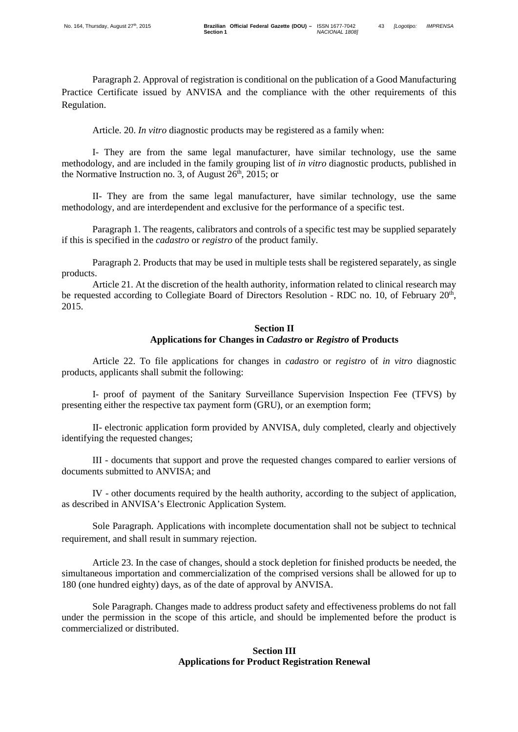Paragraph 2. Approval of registration is conditional on the publication of a Good Manufacturing Practice Certificate issued by ANVISA and the compliance with the other requirements of this Regulation.

Article. 20. *In vitro* diagnostic products may be registered as a family when:

I- They are from the same legal manufacturer, have similar technology, use the same methodology, and are included in the family grouping list of *in vitro* diagnostic products, published in the Normative Instruction no. 3, of August  $26<sup>th</sup>$ ,  $2015$ ; or

II- They are from the same legal manufacturer, have similar technology, use the same methodology, and are interdependent and exclusive for the performance of a specific test.

Paragraph 1. The reagents, calibrators and controls of a specific test may be supplied separately if this is specified in the *cadastro* or *registro* of the product family.

Paragraph 2. Products that may be used in multiple tests shall be registered separately, as single products.

Article 21. At the discretion of the health authority, information related to clinical research may be requested according to Collegiate Board of Directors Resolution - RDC no. 10, of February 20<sup>th</sup>, 2015.

# **Section II Applications for Changes in** *Cadastro* **or** *Registro* **of Products**

Article 22. To file applications for changes in *cadastro* or *registro* of *in vitro* diagnostic products, applicants shall submit the following:

I- proof of payment of the Sanitary Surveillance Supervision Inspection Fee (TFVS) by presenting either the respective tax payment form (GRU), or an exemption form;

II- electronic application form provided by ANVISA, duly completed, clearly and objectively identifying the requested changes;

III - documents that support and prove the requested changes compared to earlier versions of documents submitted to ANVISA; and

IV - other documents required by the health authority, according to the subject of application, as described in ANVISA's Electronic Application System.

Sole Paragraph. Applications with incomplete documentation shall not be subject to technical requirement, and shall result in summary rejection.

Article 23. In the case of changes, should a stock depletion for finished products be needed, the simultaneous importation and commercialization of the comprised versions shall be allowed for up to 180 (one hundred eighty) days, as of the date of approval by ANVISA.

Sole Paragraph. Changes made to address product safety and effectiveness problems do not fall under the permission in the scope of this article, and should be implemented before the product is commercialized or distributed.

# **Section III Applications for Product Registration Renewal**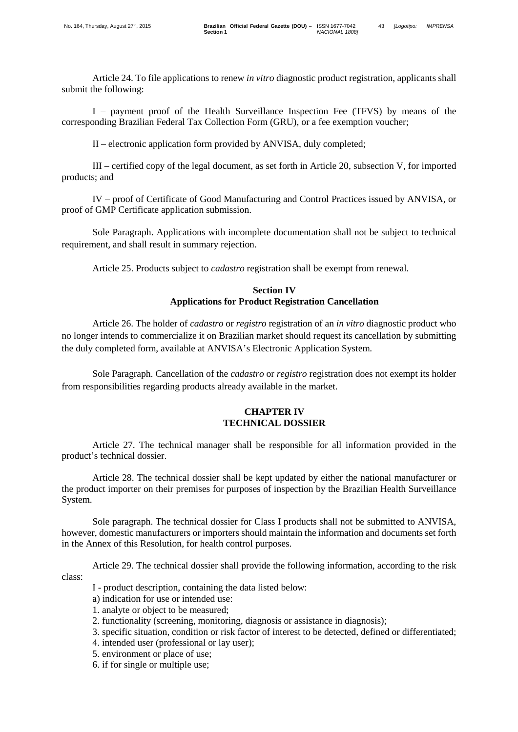Article 24. To file applications to renew *in vitro* diagnostic product registration, applicants shall submit the following:

I – payment proof of the Health Surveillance Inspection Fee (TFVS) by means of the corresponding Brazilian Federal Tax Collection Form (GRU), or a fee exemption voucher;

II – electronic application form provided by ANVISA, duly completed;

III – certified copy of the legal document, as set forth in Article 20, subsection V, for imported products; and

IV – proof of Certificate of Good Manufacturing and Control Practices issued by ANVISA, or proof of GMP Certificate application submission.

Sole Paragraph. Applications with incomplete documentation shall not be subject to technical requirement, and shall result in summary rejection.

Article 25. Products subject to *cadastro* registration shall be exempt from renewal.

# **Section IV Applications for Product Registration Cancellation**

Article 26. The holder of *cadastro* or *registro* registration of an *in vitro* diagnostic product who no longer intends to commercialize it on Brazilian market should request its cancellation by submitting the duly completed form, available at ANVISA's Electronic Application System.

Sole Paragraph. Cancellation of the *cadastro* or *registro* registration does not exempt its holder from responsibilities regarding products already available in the market.

# **CHAPTER IV TECHNICAL DOSSIER**

Article 27. The technical manager shall be responsible for all information provided in the product's technical dossier.

Article 28. The technical dossier shall be kept updated by either the national manufacturer or the product importer on their premises for purposes of inspection by the Brazilian Health Surveillance System.

Sole paragraph. The technical dossier for Class I products shall not be submitted to ANVISA, however, domestic manufacturers or importers should maintain the information and documents set forth in the Annex of this Resolution, for health control purposes.

Article 29. The technical dossier shall provide the following information, according to the risk class:

- I product description, containing the data listed below:
- a) indication for use or intended use:
- 1. analyte or object to be measured;
- 2. functionality (screening, monitoring, diagnosis or assistance in diagnosis);
- 3. specific situation, condition or risk factor of interest to be detected, defined or differentiated;
- 4. intended user (professional or lay user);
- 5. environment or place of use;
- 6. if for single or multiple use;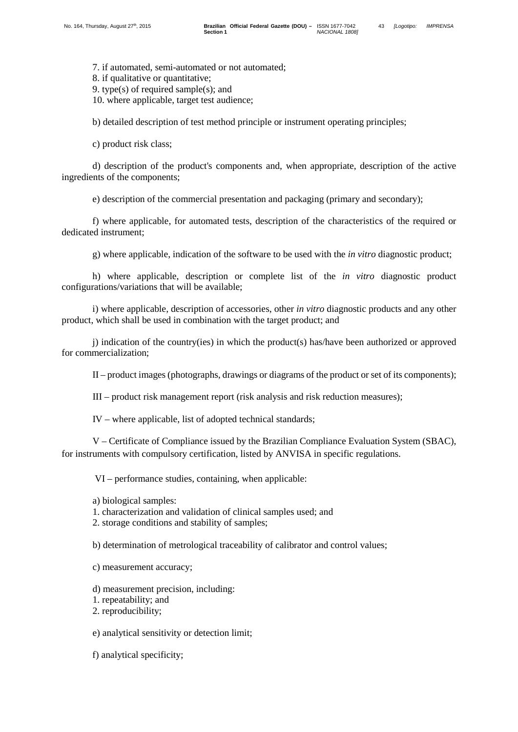7. if automated, semi-automated or not automated;

8. if qualitative or quantitative;

9. type(s) of required sample(s); and

10. where applicable, target test audience;

b) detailed description of test method principle or instrument operating principles;

c) product risk class;

d) description of the product's components and, when appropriate, description of the active ingredients of the components;

e) description of the commercial presentation and packaging (primary and secondary);

f) where applicable, for automated tests, description of the characteristics of the required or dedicated instrument;

g) where applicable, indication of the software to be used with the *in vitro* diagnostic product;

h) where applicable, description or complete list of the *in vitro* diagnostic product configurations/variations that will be available;

i) where applicable, description of accessories, other *in vitro* diagnostic products and any other product, which shall be used in combination with the target product; and

j) indication of the country(ies) in which the product(s) has/have been authorized or approved for commercialization;

II – product images (photographs, drawings or diagrams of the product or set of its components);

III – product risk management report (risk analysis and risk reduction measures);

IV – where applicable, list of adopted technical standards;

V – Certificate of Compliance issued by the Brazilian Compliance Evaluation System (SBAC), for instruments with compulsory certification, listed by ANVISA in specific regulations.

VI – performance studies, containing, when applicable:

a) biological samples:

1. characterization and validation of clinical samples used; and

2. storage conditions and stability of samples;

b) determination of metrological traceability of calibrator and control values;

c) measurement accuracy;

d) measurement precision, including:

1. repeatability; and

2. reproducibility;

e) analytical sensitivity or detection limit;

f) analytical specificity;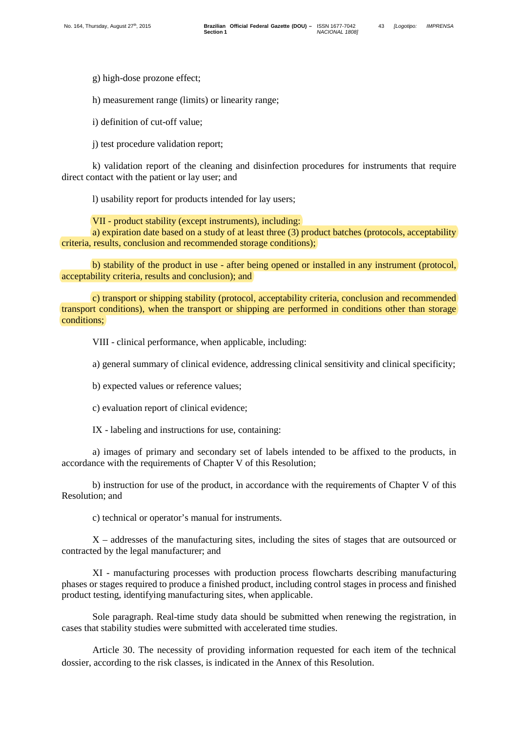g) high-dose prozone effect;

h) measurement range (limits) or linearity range;

i) definition of cut-off value;

j) test procedure validation report;

k) validation report of the cleaning and disinfection procedures for instruments that require direct contact with the patient or lay user; and

l) usability report for products intended for lay users;

VII - product stability (except instruments), including:

a) expiration date based on a study of at least three (3) product batches (protocols, acceptability criteria, results, conclusion and recommended storage conditions);

b) stability of the product in use - after being opened or installed in any instrument (protocol, acceptability criteria, results and conclusion); and

c) transport or shipping stability (protocol, acceptability criteria, conclusion and recommended transport conditions), when the transport or shipping are performed in conditions other than storage conditions;

VIII - clinical performance, when applicable, including:

a) general summary of clinical evidence, addressing clinical sensitivity and clinical specificity;

- b) expected values or reference values;
- c) evaluation report of clinical evidence;

IX - labeling and instructions for use, containing:

a) images of primary and secondary set of labels intended to be affixed to the products, in accordance with the requirements of Chapter V of this Resolution;

b) instruction for use of the product, in accordance with the requirements of Chapter V of this Resolution; and

c) technical or operator's manual for instruments.

X – addresses of the manufacturing sites, including the sites of stages that are outsourced or contracted by the legal manufacturer; and

XI - manufacturing processes with production process flowcharts describing manufacturing phases or stages required to produce a finished product, including control stages in process and finished product testing, identifying manufacturing sites, when applicable.

Sole paragraph. Real-time study data should be submitted when renewing the registration, in cases that stability studies were submitted with accelerated time studies.

Article 30. The necessity of providing information requested for each item of the technical dossier, according to the risk classes, is indicated in the Annex of this Resolution.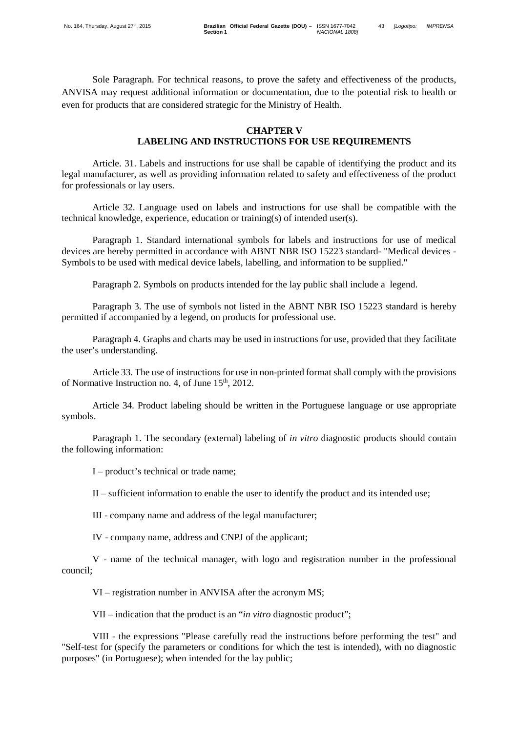Sole Paragraph. For technical reasons, to prove the safety and effectiveness of the products, ANVISA may request additional information or documentation, due to the potential risk to health or even for products that are considered strategic for the Ministry of Health.

### **CHAPTER V LABELING AND INSTRUCTIONS FOR USE REQUIREMENTS**

Article. 31. Labels and instructions for use shall be capable of identifying the product and its legal manufacturer, as well as providing information related to safety and effectiveness of the product for professionals or lay users.

Article 32. Language used on labels and instructions for use shall be compatible with the technical knowledge, experience, education or training(s) of intended user(s).

Paragraph 1. Standard international symbols for labels and instructions for use of medical devices are hereby permitted in accordance with ABNT NBR ISO 15223 standard- "Medical devices - Symbols to be used with medical device labels, labelling, and information to be supplied."

Paragraph 2. Symbols on products intended for the lay public shall include a legend.

Paragraph 3. The use of symbols not listed in the ABNT NBR ISO 15223 standard is hereby permitted if accompanied by a legend, on products for professional use.

Paragraph 4. Graphs and charts may be used in instructions for use, provided that they facilitate the user's understanding.

Article 33. The use of instructions for use in non-printed format shall comply with the provisions of Normative Instruction no. 4, of June  $15<sup>th</sup>$ , 2012.

Article 34. Product labeling should be written in the Portuguese language or use appropriate symbols.

Paragraph 1. The secondary (external) labeling of *in vitro* diagnostic products should contain the following information:

I – product's technical or trade name;

II – sufficient information to enable the user to identify the product and its intended use;

III - company name and address of the legal manufacturer;

IV - company name, address and CNPJ of the applicant;

V - name of the technical manager, with logo and registration number in the professional council;

VI – registration number in ANVISA after the acronym MS;

VII – indication that the product is an "*in vitro* diagnostic product";

VIII - the expressions "Please carefully read the instructions before performing the test" and "Self-test for (specify the parameters or conditions for which the test is intended), with no diagnostic purposes" (in Portuguese); when intended for the lay public;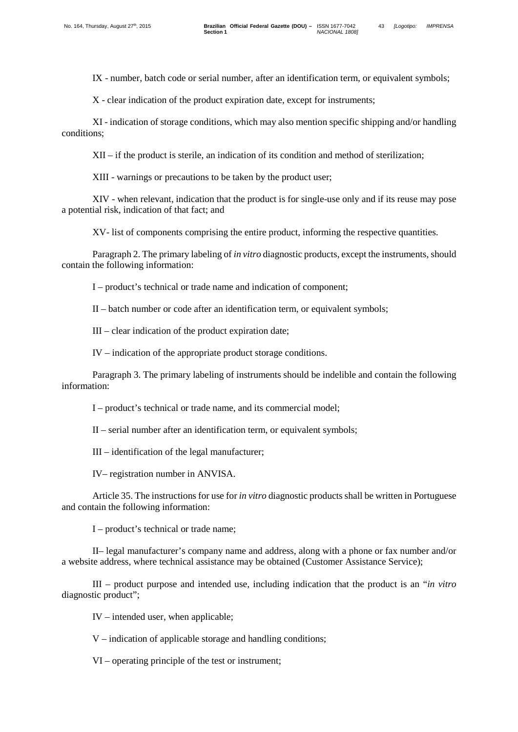IX - number, batch code or serial number, after an identification term, or equivalent symbols;

X - clear indication of the product expiration date, except for instruments;

XI - indication of storage conditions, which may also mention specific shipping and/or handling conditions;

XII – if the product is sterile, an indication of its condition and method of sterilization;

XIII - warnings or precautions to be taken by the product user;

XIV - when relevant, indication that the product is for single-use only and if its reuse may pose a potential risk, indication of that fact; and

XV- list of components comprising the entire product, informing the respective quantities.

Paragraph 2. The primary labeling of *in vitro* diagnostic products, except the instruments, should contain the following information:

I – product's technical or trade name and indication of component;

II – batch number or code after an identification term, or equivalent symbols;

III – clear indication of the product expiration date;

IV – indication of the appropriate product storage conditions.

Paragraph 3. The primary labeling of instruments should be indelible and contain the following information:

I – product's technical or trade name, and its commercial model;

II – serial number after an identification term, or equivalent symbols;

III – identification of the legal manufacturer;

IV– registration number in ANVISA.

Article 35. The instructions for use for *in vitro* diagnostic products shall be written in Portuguese and contain the following information:

I – product's technical or trade name;

II– legal manufacturer's company name and address, along with a phone or fax number and/or a website address, where technical assistance may be obtained (Customer Assistance Service);

III – product purpose and intended use, including indication that the product is an "*in vitro* diagnostic product";

IV – intended user, when applicable;

V – indication of applicable storage and handling conditions;

VI – operating principle of the test or instrument;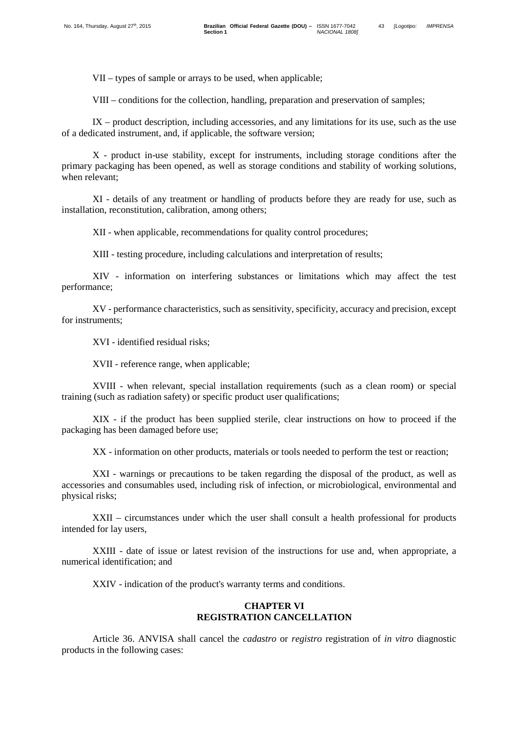VII – types of sample or arrays to be used, when applicable;

VIII – conditions for the collection, handling, preparation and preservation of samples;

IX – product description, including accessories, and any limitations for its use, such as the use of a dedicated instrument, and, if applicable, the software version;

X - product in-use stability, except for instruments, including storage conditions after the primary packaging has been opened, as well as storage conditions and stability of working solutions, when relevant;

XI - details of any treatment or handling of products before they are ready for use, such as installation, reconstitution, calibration, among others;

XII - when applicable, recommendations for quality control procedures;

XIII - testing procedure, including calculations and interpretation of results;

XIV - information on interfering substances or limitations which may affect the test performance;

XV - performance characteristics, such as sensitivity, specificity, accuracy and precision, except for instruments:

XVI - identified residual risks;

XVII - reference range, when applicable;

XVIII - when relevant, special installation requirements (such as a clean room) or special training (such as radiation safety) or specific product user qualifications;

XIX - if the product has been supplied sterile, clear instructions on how to proceed if the packaging has been damaged before use;

XX - information on other products, materials or tools needed to perform the test or reaction;

XXI - warnings or precautions to be taken regarding the disposal of the product, as well as accessories and consumables used, including risk of infection, or microbiological, environmental and physical risks;

XXII – circumstances under which the user shall consult a health professional for products intended for lay users,

XXIII - date of issue or latest revision of the instructions for use and, when appropriate, a numerical identification; and

XXIV - indication of the product's warranty terms and conditions.

### **CHAPTER VI REGISTRATION CANCELLATION**

Article 36. ANVISA shall cancel the *cadastro* or *registro* registration of *in vitro* diagnostic products in the following cases: